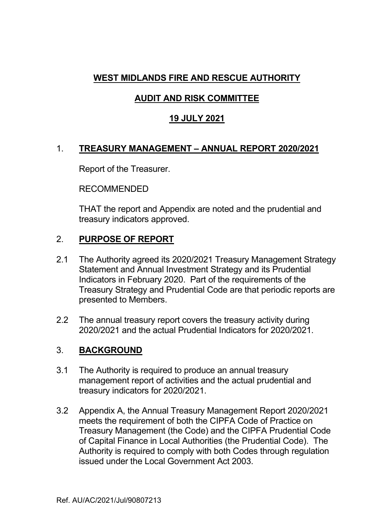# **WEST MIDLANDS FIRE AND RESCUE AUTHORITY**

# **AUDIT AND RISK COMMITTEE**

# **19 JULY 2021**

# 1. **TREASURY MANAGEMENT – ANNUAL REPORT 2020/2021**

Report of the Treasurer.

RECOMMENDED

THAT the report and Appendix are noted and the prudential and treasury indicators approved.

# 2. **PURPOSE OF REPORT**

- 2.1 The Authority agreed its 2020/2021 Treasury Management Strategy Statement and Annual Investment Strategy and its Prudential Indicators in February 2020. Part of the requirements of the Treasury Strategy and Prudential Code are that periodic reports are presented to Members.
- 2.2 The annual treasury report covers the treasury activity during 2020/2021 and the actual Prudential Indicators for 2020/2021.

# 3. **BACKGROUND**

- 3.1 The Authority is required to produce an annual treasury management report of activities and the actual prudential and treasury indicators for 2020/2021.
- 3.2 Appendix A, the Annual Treasury Management Report 2020/2021 meets the requirement of both the CIPFA Code of Practice on Treasury Management (the Code) and the CIPFA Prudential Code of Capital Finance in Local Authorities (the Prudential Code). The Authority is required to comply with both Codes through regulation issued under the Local Government Act 2003.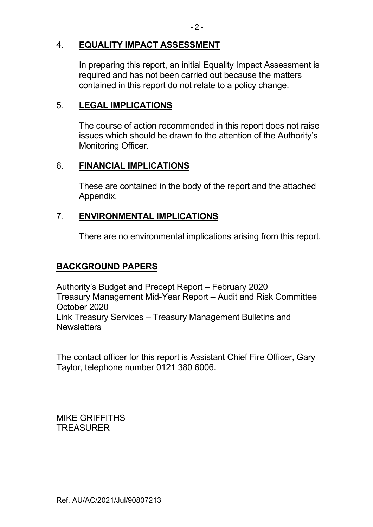# 4. **EQUALITY IMPACT ASSESSMENT**

 In preparing this report, an initial Equality Impact Assessment is required and has not been carried out because the matters contained in this report do not relate to a policy change.

## 5. **LEGAL IMPLICATIONS**

 The course of action recommended in this report does not raise issues which should be drawn to the attention of the Authority's Monitoring Officer.

### 6. **FINANCIAL IMPLICATIONS**

 These are contained in the body of the report and the attached Appendix.

# 7. **ENVIRONMENTAL IMPLICATIONS**

There are no environmental implications arising from this report.

# **BACKGROUND PAPERS**

Authority's Budget and Precept Report – February 2020 Treasury Management Mid-Year Report – Audit and Risk Committee October 2020 Link Treasury Services – Treasury Management Bulletins and **Newsletters** 

The contact officer for this report is Assistant Chief Fire Officer, Gary Taylor, telephone number 0121 380 6006.

MIKE GRIFFITHS **TREASURER**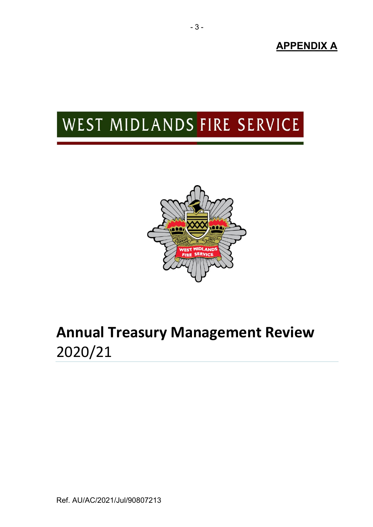**APPENDIX A** 

# WEST MIDLANDS FIRE SERVICE



# **Annual Treasury Management Review**  2020/21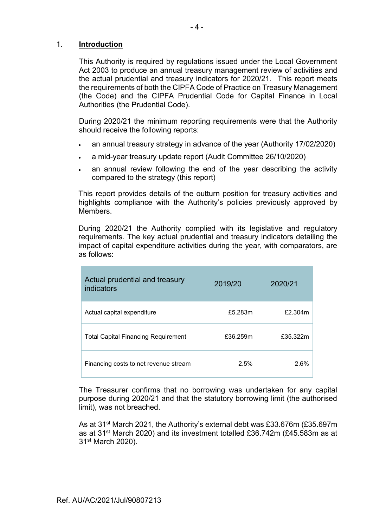### 1. **Introduction**

This Authority is required by regulations issued under the Local Government Act 2003 to produce an annual treasury management review of activities and the actual prudential and treasury indicators for 2020/21. This report meets the requirements of both the CIPFA Code of Practice on Treasury Management (the Code) and the CIPFA Prudential Code for Capital Finance in Local Authorities (the Prudential Code).

During 2020/21 the minimum reporting requirements were that the Authority should receive the following reports:

- an annual treasury strategy in advance of the year (Authority 17/02/2020)
- a mid-year treasury update report (Audit Committee 26/10/2020)
- an annual review following the end of the year describing the activity compared to the strategy (this report)

This report provides details of the outturn position for treasury activities and highlights compliance with the Authority's policies previously approved by Members.

During 2020/21 the Authority complied with its legislative and regulatory requirements. The key actual prudential and treasury indicators detailing the impact of capital expenditure activities during the year, with comparators, are as follows:

| Actual prudential and treasury<br>indicators | 2019/20  | 2020/21  |
|----------------------------------------------|----------|----------|
| Actual capital expenditure                   | £5.283m  | £2.304m  |
| <b>Total Capital Financing Requirement</b>   | £36.259m | £35.322m |
| Financing costs to net revenue stream        | 2.5%     | 2.6%     |

The Treasurer confirms that no borrowing was undertaken for any capital purpose during 2020/21 and that the statutory borrowing limit (the authorised limit), was not breached.

As at 31st March 2021, the Authority's external debt was £33.676m (£35.697m as at 31<sup>st</sup> March 2020) and its investment totalled £36.742m (£45.583m as at 31st March 2020).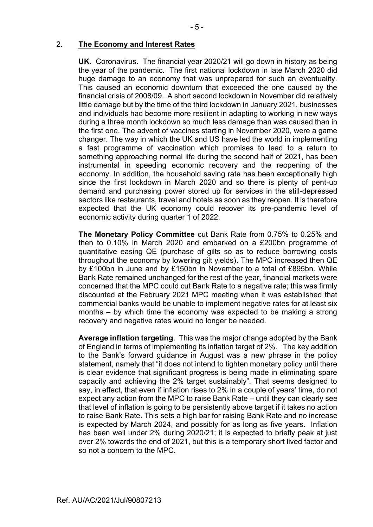#### 2. **The Economy and Interest Rates**

**UK.** Coronavirus. The financial year 2020/21 will go down in history as being the year of the pandemic. The first national lockdown in late March 2020 did huge damage to an economy that was unprepared for such an eventuality. This caused an economic downturn that exceeded the one caused by the financial crisis of 2008/09. A short second lockdown in November did relatively little damage but by the time of the third lockdown in January 2021, businesses and individuals had become more resilient in adapting to working in new ways during a three month lockdown so much less damage than was caused than in the first one. The advent of vaccines starting in November 2020, were a game changer. The way in which the UK and US have led the world in implementing a fast programme of vaccination which promises to lead to a return to something approaching normal life during the second half of 2021, has been instrumental in speeding economic recovery and the reopening of the economy. In addition, the household saving rate has been exceptionally high since the first lockdown in March 2020 and so there is plenty of pent-up demand and purchasing power stored up for services in the still-depressed sectors like restaurants, travel and hotels as soon as they reopen. It is therefore expected that the UK economy could recover its pre-pandemic level of economic activity during quarter 1 of 2022.

 **The Monetary Policy Committee** cut Bank Rate from 0.75% to 0.25% and then to 0.10% in March 2020 and embarked on a £200bn programme of quantitative easing QE (purchase of gilts so as to reduce borrowing costs throughout the economy by lowering gilt yields). The MPC increased then QE by £100bn in June and by £150bn in November to a total of £895bn. While Bank Rate remained unchanged for the rest of the year, financial markets were concerned that the MPC could cut Bank Rate to a negative rate; this was firmly discounted at the February 2021 MPC meeting when it was established that commercial banks would be unable to implement negative rates for at least six months – by which time the economy was expected to be making a strong recovery and negative rates would no longer be needed.

 **Average inflation targeting**. This was the major change adopted by the Bank of England in terms of implementing its inflation target of 2%. The key addition to the Bank's forward guidance in August was a new phrase in the policy statement, namely that "it does not intend to tighten monetary policy until there is clear evidence that significant progress is being made in eliminating spare capacity and achieving the 2% target sustainably". That seems designed to say, in effect, that even if inflation rises to 2% in a couple of years' time, do not expect any action from the MPC to raise Bank Rate – until they can clearly see that level of inflation is going to be persistently above target if it takes no action to raise Bank Rate. This sets a high bar for raising Bank Rate and no increase is expected by March 2024, and possibly for as long as five years. Inflation has been well under 2% during 2020/21; it is expected to briefly peak at just over 2% towards the end of 2021, but this is a temporary short lived factor and so not a concern to the MPC.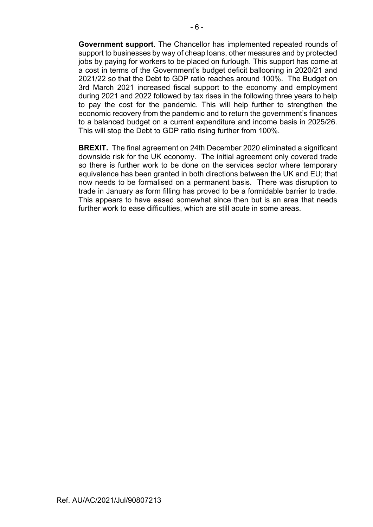**Government support.** The Chancellor has implemented repeated rounds of support to businesses by way of cheap loans, other measures and by protected jobs by paying for workers to be placed on furlough. This support has come at a cost in terms of the Government's budget deficit ballooning in 2020/21 and 2021/22 so that the Debt to GDP ratio reaches around 100%. The Budget on 3rd March 2021 increased fiscal support to the economy and employment during 2021 and 2022 followed by tax rises in the following three years to help to pay the cost for the pandemic. This will help further to strengthen the economic recovery from the pandemic and to return the government's finances to a balanced budget on a current expenditure and income basis in 2025/26. This will stop the Debt to GDP ratio rising further from 100%.

 **BREXIT.** The final agreement on 24th December 2020 eliminated a significant downside risk for the UK economy. The initial agreement only covered trade so there is further work to be done on the services sector where temporary equivalence has been granted in both directions between the UK and EU; that now needs to be formalised on a permanent basis. There was disruption to trade in January as form filling has proved to be a formidable barrier to trade. This appears to have eased somewhat since then but is an area that needs further work to ease difficulties, which are still acute in some areas.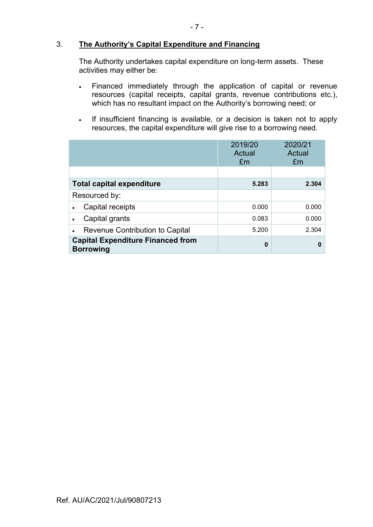### 3. **The Authority's Capital Expenditure and Financing**

 The Authority undertakes capital expenditure on long-term assets. These activities may either be:

- Financed immediately through the application of capital or revenue resources (capital receipts, capital grants, revenue contributions etc.), which has no resultant impact on the Authority's borrowing need; or
- If insufficient financing is available, or a decision is taken not to apply resources, the capital expenditure will give rise to a borrowing need.

|                                                              | 2019/20<br>Actual<br>£m | 2020/21<br>Actual<br>£m |
|--------------------------------------------------------------|-------------------------|-------------------------|
|                                                              |                         |                         |
| <b>Total capital expenditure</b>                             | 5.283                   | 2.304                   |
| Resourced by:                                                |                         |                         |
| Capital receipts                                             | 0.000                   | 0.000                   |
| Capital grants                                               | 0.083                   | 0.000                   |
| Revenue Contribution to Capital                              | 5.200                   | 2.304                   |
| <b>Capital Expenditure Financed from</b><br><b>Borrowing</b> | 0                       | 0                       |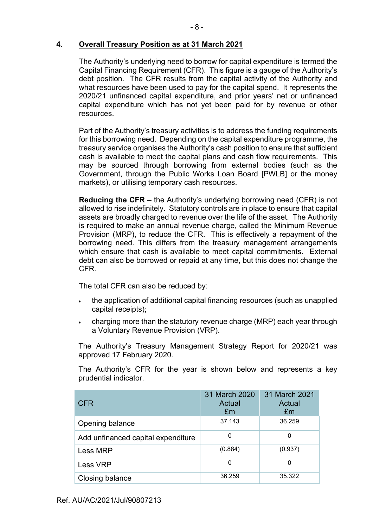### **4. Overall Treasury Position as at 31 March 2021**

The Authority's underlying need to borrow for capital expenditure is termed the Capital Financing Requirement (CFR). This figure is a gauge of the Authority's debt position. The CFR results from the capital activity of the Authority and what resources have been used to pay for the capital spend. It represents the 2020/21 unfinanced capital expenditure, and prior years' net or unfinanced capital expenditure which has not yet been paid for by revenue or other resources.

Part of the Authority's treasury activities is to address the funding requirements for this borrowing need. Depending on the capital expenditure programme, the treasury service organises the Authority's cash position to ensure that sufficient cash is available to meet the capital plans and cash flow requirements. This may be sourced through borrowing from external bodies (such as the Government, through the Public Works Loan Board [PWLB] or the money markets), or utilising temporary cash resources.

**Reducing the CFR** – the Authority's underlying borrowing need (CFR) is not allowed to rise indefinitely. Statutory controls are in place to ensure that capital assets are broadly charged to revenue over the life of the asset. The Authority is required to make an annual revenue charge, called the Minimum Revenue Provision (MRP), to reduce the CFR. This is effectively a repayment of the borrowing need. This differs from the treasury management arrangements which ensure that cash is available to meet capital commitments. External debt can also be borrowed or repaid at any time, but this does not change the CFR.

The total CFR can also be reduced by:

- the application of additional capital financing resources (such as unapplied capital receipts);
- charging more than the statutory revenue charge (MRP) each year through a Voluntary Revenue Provision (VRP).

The Authority's Treasury Management Strategy Report for 2020/21 was approved 17 February 2020.

The Authority's CFR for the year is shown below and represents a key prudential indicator.

| <b>CFR</b>                         | 31 March 2020<br>Actual<br>£m | 31 March 2021<br>Actual<br>£m |
|------------------------------------|-------------------------------|-------------------------------|
| Opening balance                    | 37.143                        | 36.259                        |
| Add unfinanced capital expenditure | 0                             |                               |
| Less MRP                           | (0.884)                       | (0.937)                       |
| Less VRP                           | 0                             |                               |
| Closing balance                    | 36.259                        | 35.322                        |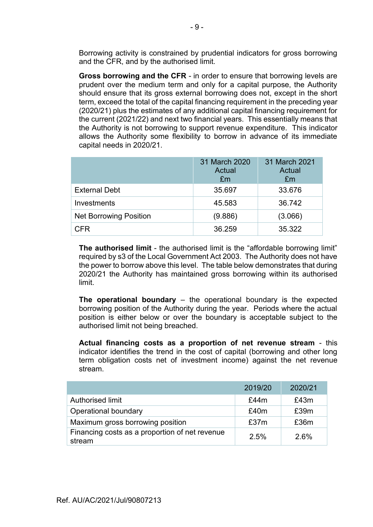Borrowing activity is constrained by prudential indicators for gross borrowing and the CFR, and by the authorised limit.

**Gross borrowing and the CFR** - in order to ensure that borrowing levels are prudent over the medium term and only for a capital purpose, the Authority should ensure that its gross external borrowing does not, except in the short term, exceed the total of the capital financing requirement in the preceding year (2020/21) plus the estimates of any additional capital financing requirement for the current (2021/22) and next two financial years. This essentially means that the Authority is not borrowing to support revenue expenditure. This indicator allows the Authority some flexibility to borrow in advance of its immediate capital needs in 2020/21.

|                               | 31 March 2020<br>Actual<br>£m | 31 March 2021<br>Actual<br>£m |
|-------------------------------|-------------------------------|-------------------------------|
| <b>External Debt</b>          | 35.697                        | 33.676                        |
| Investments                   | 45.583                        | 36.742                        |
| <b>Net Borrowing Position</b> | (9.886)                       | (3.066)                       |
| <b>CFR</b>                    | 36.259                        | 35.322                        |

**The authorised limit** - the authorised limit is the "affordable borrowing limit" required by s3 of the Local Government Act 2003. The Authority does not have the power to borrow above this level. The table below demonstrates that during 2020/21 the Authority has maintained gross borrowing within its authorised limit.

**The operational boundary** – the operational boundary is the expected borrowing position of the Authority during the year. Periods where the actual position is either below or over the boundary is acceptable subject to the authorised limit not being breached.

**Actual financing costs as a proportion of net revenue stream** - this indicator identifies the trend in the cost of capital (borrowing and other long term obligation costs net of investment income) against the net revenue stream.

|                                                          | 2019/20 | 2020/21 |
|----------------------------------------------------------|---------|---------|
| Authorised limit                                         | £44 $m$ | £43m    |
| Operational boundary                                     | £40m    | £39m    |
| Maximum gross borrowing position                         | £37m    | £36m    |
| Financing costs as a proportion of net revenue<br>stream | 2.5%    | 2.6%    |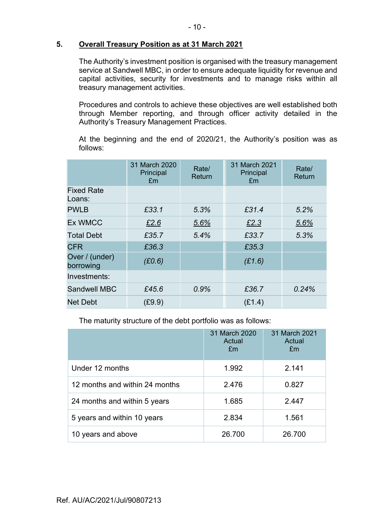### **5. Overall Treasury Position as at 31 March 2021**

The Authority's investment position is organised with the treasury management service at Sandwell MBC, in order to ensure adequate liquidity for revenue and capital activities, security for investments and to manage risks within all treasury management activities.

Procedures and controls to achieve these objectives are well established both through Member reporting, and through officer activity detailed in the Authority's Treasury Management Practices.

At the beginning and the end of 2020/21, the Authority's position was as follows:

|                             | 31 March 2020<br>Principal<br>£m | Rate/<br>Return | 31 March 2021<br>Principal<br>Em | Rate/<br>Return |
|-----------------------------|----------------------------------|-----------------|----------------------------------|-----------------|
| <b>Fixed Rate</b><br>Loans: |                                  |                 |                                  |                 |
| <b>PWLB</b>                 | £33.1                            | 5.3%            | £31.4                            | 5.2%            |
| <b>Ex WMCC</b>              | £2.6                             | 5.6%            | £2.3                             | 5.6%            |
| <b>Total Debt</b>           | £35.7                            | 5.4%            | £33.7                            | 5.3%            |
| <b>CFR</b>                  | £36.3                            |                 | £35.3                            |                 |
| Over / (under)<br>borrowing | (E0.6)                           |                 | (E1.6)                           |                 |
| Investments:                |                                  |                 |                                  |                 |
| <b>Sandwell MBC</b>         | £45.6                            | 0.9%            | £36.7                            | 0.24%           |
| <b>Net Debt</b>             | (E9.9)                           |                 | (E1.4)                           |                 |

The maturity structure of the debt portfolio was as follows:

|                                | 31 March 2020<br>Actual<br>£m | 31 March 2021<br>Actual<br>£m |
|--------------------------------|-------------------------------|-------------------------------|
| Under 12 months                | 1.992                         | 2.141                         |
| 12 months and within 24 months | 2.476                         | 0.827                         |
| 24 months and within 5 years   | 1.685                         | 2.447                         |
| 5 years and within 10 years    | 2.834                         | 1.561                         |
| 10 years and above             | 26.700                        | 26.700                        |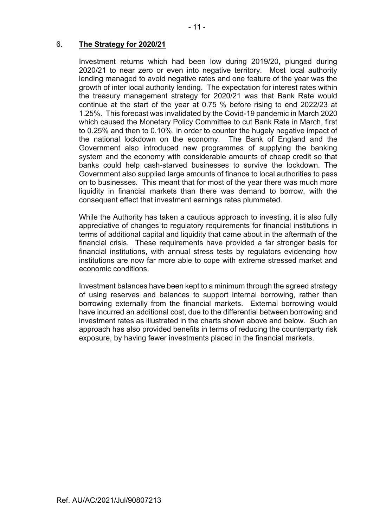### 6. **The Strategy for 2020/21**

Investment returns which had been low during 2019/20, plunged during 2020/21 to near zero or even into negative territory. Most local authority lending managed to avoid negative rates and one feature of the year was the growth of inter local authority lending. The expectation for interest rates within the treasury management strategy for 2020/21 was that Bank Rate would continue at the start of the year at 0.75 % before rising to end 2022/23 at 1.25%. This forecast was invalidated by the Covid-19 pandemic in March 2020 which caused the Monetary Policy Committee to cut Bank Rate in March, first to 0.25% and then to 0.10%, in order to counter the hugely negative impact of the national lockdown on the economy. The Bank of England and the Government also introduced new programmes of supplying the banking system and the economy with considerable amounts of cheap credit so that banks could help cash-starved businesses to survive the lockdown. The Government also supplied large amounts of finance to local authorities to pass on to businesses. This meant that for most of the year there was much more liquidity in financial markets than there was demand to borrow, with the consequent effect that investment earnings rates plummeted.

While the Authority has taken a cautious approach to investing, it is also fully appreciative of changes to regulatory requirements for financial institutions in terms of additional capital and liquidity that came about in the aftermath of the financial crisis. These requirements have provided a far stronger basis for financial institutions, with annual stress tests by regulators evidencing how institutions are now far more able to cope with extreme stressed market and economic conditions.

Investment balances have been kept to a minimum through the agreed strategy of using reserves and balances to support internal borrowing, rather than borrowing externally from the financial markets. External borrowing would have incurred an additional cost, due to the differential between borrowing and investment rates as illustrated in the charts shown above and below. Such an approach has also provided benefits in terms of reducing the counterparty risk exposure, by having fewer investments placed in the financial markets.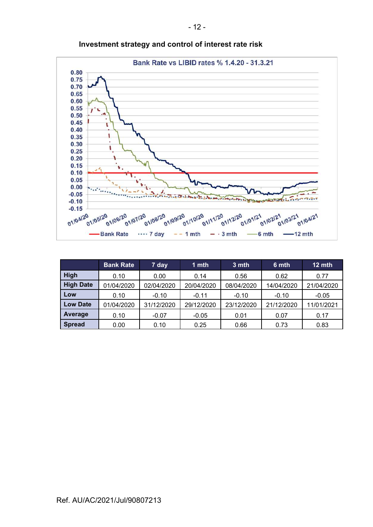

**Investment strategy and control of interest rate risk** 

|                  | <b>Bank Rate</b> | 7 day      | 1 mth      | 3 mth      | 6 mth      | 12 mth     |
|------------------|------------------|------------|------------|------------|------------|------------|
| High             | 0.10             | 0.00       | 0.14       | 0.56       | 0.62       | 0.77       |
| <b>High Date</b> | 01/04/2020       | 02/04/2020 | 20/04/2020 | 08/04/2020 | 14/04/2020 | 21/04/2020 |
| Low              | 0.10             | $-0.10$    | $-0.11$    | $-0.10$    | $-0.10$    | $-0.05$    |
| <b>Low Date</b>  | 01/04/2020       | 31/12/2020 | 29/12/2020 | 23/12/2020 | 21/12/2020 | 11/01/2021 |
| Average          | 0.10             | $-0.07$    | $-0.05$    | 0.01       | 0.07       | 0.17       |
| <b>Spread</b>    | 0.00             | 0.10       | 0.25       | 0.66       | 0.73       | 0.83       |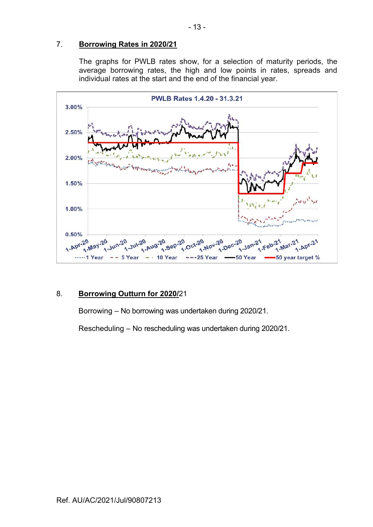### 7. **Borrowing Rates in 2020/21**

The graphs for PWLB rates show, for a selection of maturity periods, the average borrowing rates, the high and low points in rates, spreads and individual rates at the start and the end of the financial year.



### 8. **Borrowing Outturn for 2020/**21

Borrowing – No borrowing was undertaken during 2020/21.

Rescheduling – No rescheduling was undertaken during 2020/21.